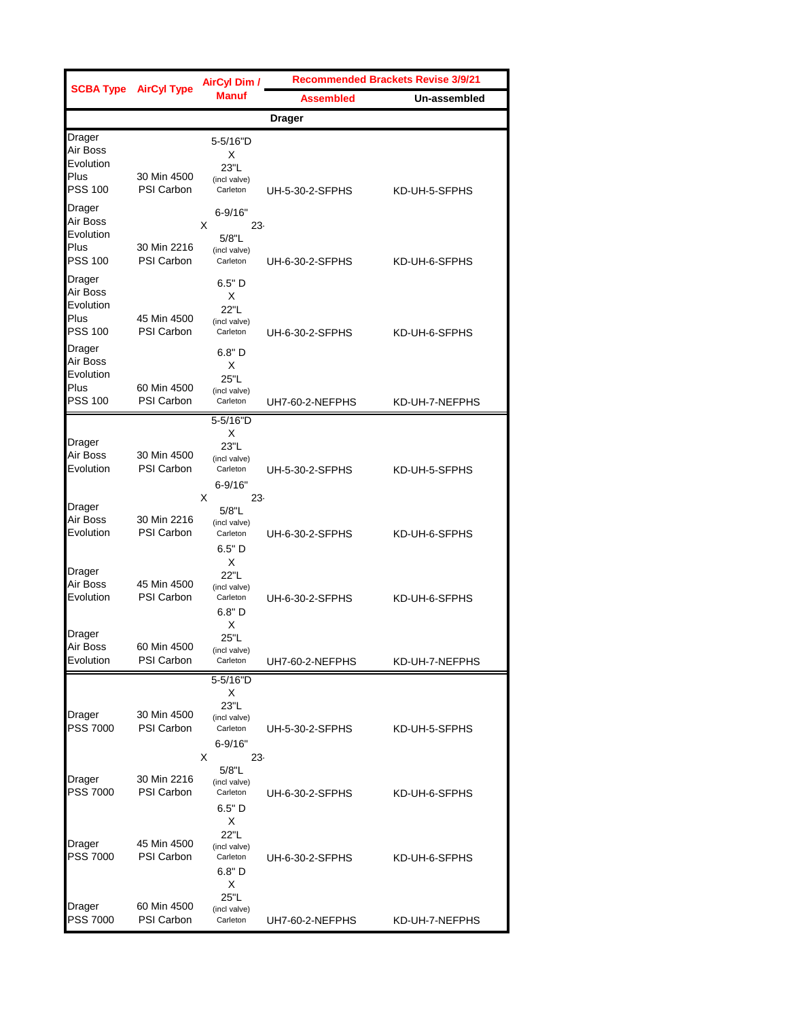|                                                                            | <b>SCBA Type AirCyl Type</b>     | <b>AirCyl Dim /</b><br><b>Manuf</b>                               | <b>Recommended Brackets Revise 3/9/21</b> |                |  |
|----------------------------------------------------------------------------|----------------------------------|-------------------------------------------------------------------|-------------------------------------------|----------------|--|
|                                                                            |                                  |                                                                   | <b>Assembled</b>                          | Un-assembled   |  |
|                                                                            |                                  |                                                                   | <b>Drager</b>                             |                |  |
| Drager<br>Air Boss<br>Evolution<br>Plus<br><b>PSS 100</b>                  | 30 Min 4500<br><b>PSI Carbon</b> | 5-5/16"D<br>X<br>23"L<br>(incl valve)<br>Carleton                 | UH-5-30-2-SFPHS                           | KD-UH-5-SFPHS  |  |
| Drager<br>Air Boss<br>Evolution<br>Plus<br><b>PSS 100</b>                  | 30 Min 2216<br><b>PSI Carbon</b> | $6 - 9/16"$<br>X<br>23<br>5/8"L<br>(incl valve)<br>Carleton       | UH-6-30-2-SFPHS                           | KD-UH-6-SFPHS  |  |
| Drager<br>Air Boss<br>Evolution<br>Plus<br><b>PSS 100</b><br><b>Drager</b> | 45 Min 4500<br><b>PSI Carbon</b> | $6.5"$ D<br>X<br>22"L<br>(incl valve)<br>Carleton<br>6.8"D        | UH-6-30-2-SFPHS                           | KD-UH-6-SFPHS  |  |
| Air Boss<br>Evolution<br>Plus<br><b>PSS 100</b>                            | 60 Min 4500<br><b>PSI Carbon</b> | X<br>25"L<br>(incl valve)<br>Carleton                             | UH7-60-2-NEFPHS                           | KD-UH-7-NEFPHS |  |
| Drager<br>Air Boss<br>Evolution                                            | 30 Min 4500<br><b>PSI Carbon</b> | 5-5/16"D<br>X<br>23"L<br>(incl valve)<br>Carleton<br>$6 - 9/16"$  | UH-5-30-2-SFPHS                           | KD-UH-5-SFPHS  |  |
| Drager<br>Air Boss<br>Evolution                                            | 30 Min 2216<br><b>PSI Carbon</b> | X<br>$23 -$<br>5/8"L<br>(incl valve)<br>Carleton<br>$6.5"$ D<br>X | UH-6-30-2-SFPHS                           | KD-UH-6-SFPHS  |  |
| Drager<br>Air Boss<br>Evolution                                            | 45 Min 4500<br><b>PSI Carbon</b> | 22"L<br>(incl valve)<br>Carleton<br>6.8"D<br>X                    | UH-6-30-2-SFPHS                           | KD-UH-6-SFPHS  |  |
| Drager<br>AII BOSS<br>Evolution                                            | 60 Min 4500<br><b>PSI Carbon</b> | 25"L<br>(incl valve)<br>Carleton<br>5-5/16"D                      | UH7-60-2-NEFPHS                           | KD-UH-7-NEFPHS |  |
| Drager<br><b>PSS 7000</b>                                                  | 30 Min 4500<br><b>PSI Carbon</b> | х<br>23"L<br>(incl valve)<br>Carleton<br>$6 - 9/16"$<br>X<br>23-  | UH-5-30-2-SFPHS                           | KD-UH-5-SFPHS  |  |
| Drager<br><b>PSS 7000</b>                                                  | 30 Min 2216<br>PSI Carbon        | 5/8"L<br>(incl valve)<br>Carleton<br>$6.5"$ D                     | UH-6-30-2-SFPHS                           | KD-UH-6-SFPHS  |  |
| Drager<br><b>PSS 7000</b>                                                  | 45 Min 4500<br><b>PSI Carbon</b> | Х<br>22"L<br>(incl valve)<br>Carleton<br>6.8"D<br>X               | UH-6-30-2-SFPHS                           | KD-UH-6-SFPHS  |  |
| Drager<br>PSS 7000                                                         | 60 Min 4500<br><b>PSI Carbon</b> | 25"L<br>(incl valve)<br>Carleton                                  | UH7-60-2-NEFPHS                           | KD-UH-7-NEFPHS |  |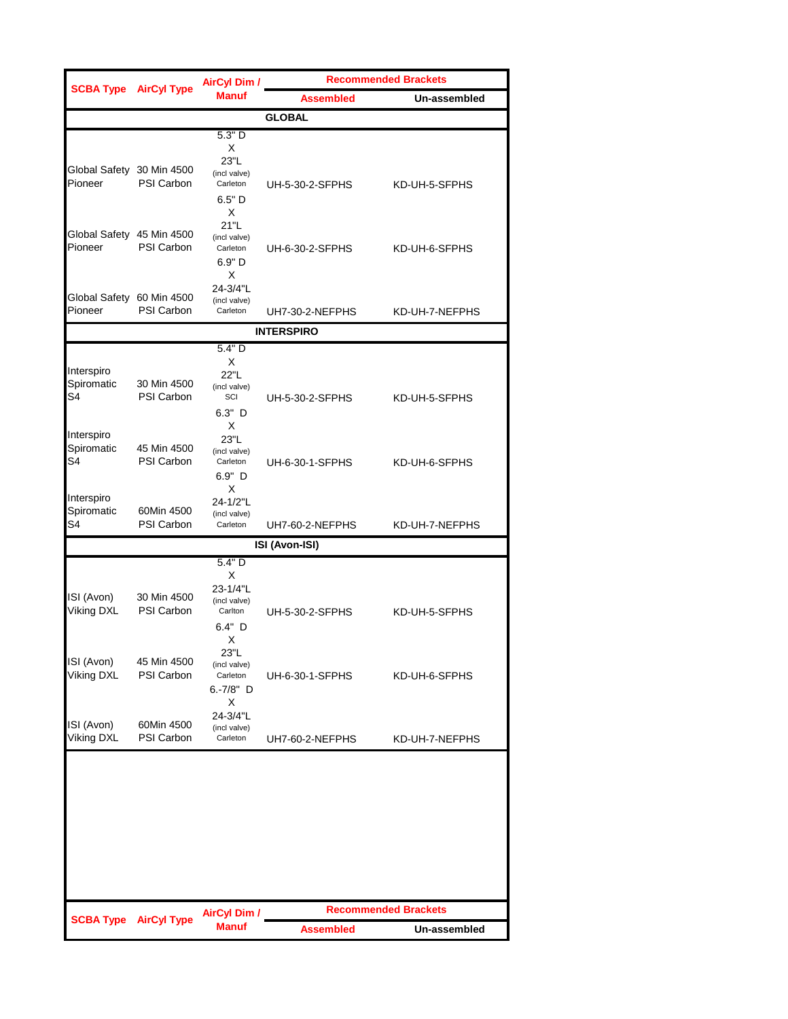|                                            | <b>SCBA Type AirCyl Type</b>     | <b>AirCyl Dim /</b>                                                 | <b>Recommended Brackets</b> |                             |
|--------------------------------------------|----------------------------------|---------------------------------------------------------------------|-----------------------------|-----------------------------|
|                                            |                                  | <b>Manuf</b>                                                        | Assembled                   | Un-assembled                |
|                                            |                                  |                                                                     | <b>GLOBAL</b>               |                             |
| Global Safety 30 Min 4500<br>Pioneer       | <b>PSI Carbon</b>                | 5.3"D<br>X<br>23"L<br>(incl valve)<br>Carleton<br>$6.5"$ D          | UH-5-30-2-SFPHS             | KD-UH-5-SFPHS               |
| Global Safety 45 Min 4500<br>Pioneer       | <b>PSI Carbon</b>                | X<br>21"L<br>(incl valve)<br>Carleton<br>6.9" D<br>X                | UH-6-30-2-SFPHS             | KD-UH-6-SFPHS               |
| Global Safety 60 Min 4500<br>Pioneer       | <b>PSI Carbon</b>                | 24-3/4"L<br>(incl valve)<br>Carleton                                | UH7-30-2-NEFPHS             | KD-UH-7-NEFPHS              |
|                                            |                                  |                                                                     | <b>INTERSPIRO</b>           |                             |
| Interspiro<br>Spiromatic<br>S <sub>4</sub> | 30 Min 4500<br><b>PSI Carbon</b> | 5.4" D<br>X<br>22"L<br>(incl valve)<br>SCI<br>$6.3"$ D<br>X         | UH-5-30-2-SFPHS             | KD-UH-5-SFPHS               |
| Interspiro<br>Spiromatic<br>S4             | 45 Min 4500<br><b>PSI Carbon</b> | 23"L<br>(incl valve)<br>Carleton<br>$6.9"$ D<br>X                   | UH-6-30-1-SFPHS             | KD-UH-6-SFPHS               |
| Interspiro<br>Spiromatic<br>S <sub>4</sub> | 60Min 4500<br>PSI Carbon         | 24-1/2"L<br>(incl valve)<br>Carleton                                | UH7-60-2-NEFPHS             | KD-UH-7-NEFPHS              |
|                                            |                                  |                                                                     | ISI (Avon-ISI)              |                             |
| ISI (Avon)<br>Viking DXL                   | 30 Min 4500<br><b>PSI Carbon</b> | 5.4" D<br>X<br>23-1/4"L<br>(incl valve)<br>Carlton<br>$6.4"$ D<br>X | UH-5-30-2-SFPHS             | KD-UH-5-SFPHS               |
| ISI (Avon)<br><b>Viking DXL</b>            | 45 Min 4500<br>PSI Carbon        | 23"L<br>(incl valve)<br>Carleton<br>6.-7/8" D                       | UH-6-30-1-SFPHS             | KD-UH-6-SFPHS               |
| ISI (Avon)<br>Viking DXL                   | 60Min 4500<br>PSI Carbon         | X<br>24-3/4"L<br>(incl valve)<br>Carleton                           | UH7-60-2-NEFPHS             | KD-UH-7-NEFPHS              |
|                                            |                                  |                                                                     |                             | <b>Recommended Brackets</b> |
| <b>SCBA Type</b>                           | <b>AirCyl Type</b>               | <b>AirCyl Dim /</b><br><b>Manuf</b>                                 | <b>Assembled</b>            | Un-assembled                |
|                                            |                                  |                                                                     |                             |                             |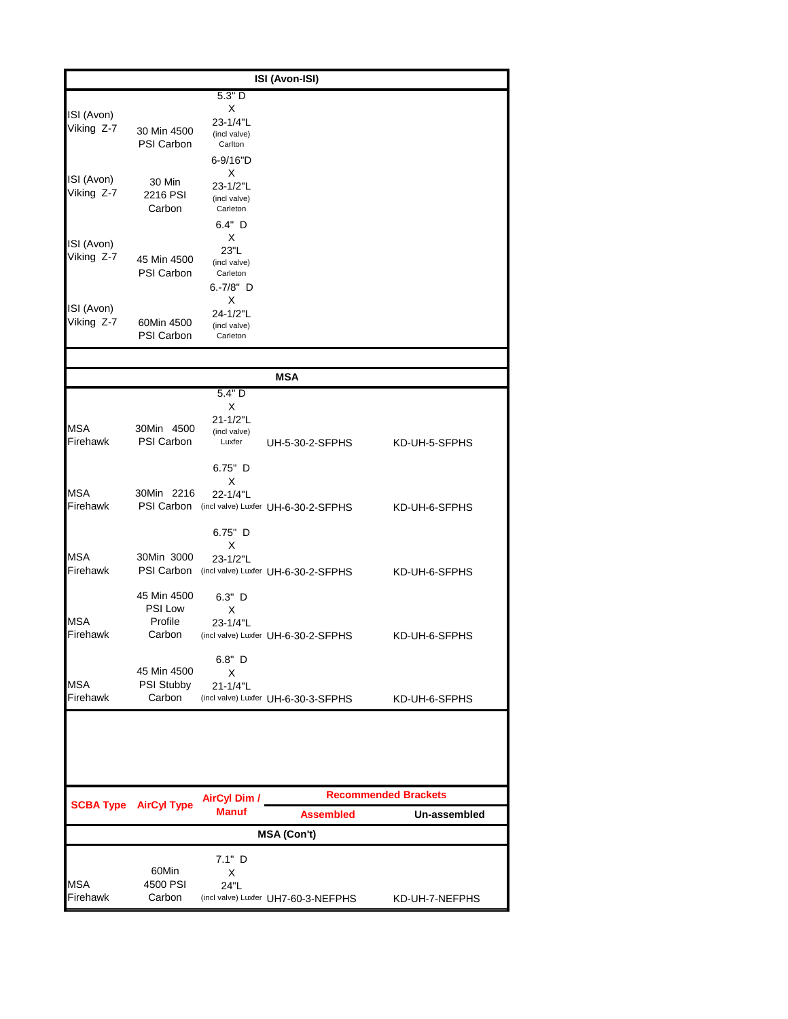|                        |                              |                          | ISI (Avon-ISI)                      |                             |
|------------------------|------------------------------|--------------------------|-------------------------------------|-----------------------------|
|                        |                              | 5.3"D                    |                                     |                             |
| ISI (Avon)             |                              | X                        |                                     |                             |
| Viking Z-7             | 30 Min 4500                  | 23-1/4"L<br>(incl valve) |                                     |                             |
|                        | <b>PSI Carbon</b>            | Carlton                  |                                     |                             |
|                        |                              | 6-9/16"D                 |                                     |                             |
| ISI (Avon)             | 30 Min                       | X<br>23-1/2"L            |                                     |                             |
| Viking Z-7             | 2216 PSI                     | (incl valve)             |                                     |                             |
|                        | Carbon                       | Carleton                 |                                     |                             |
|                        |                              | 6.4" D                   |                                     |                             |
| ISI (Avon)             |                              | Х<br>23"L                |                                     |                             |
| Viking Z-7             | 45 Min 4500                  | (incl valve)             |                                     |                             |
|                        | PSI Carbon                   | Carleton<br>$6.-7/8"$ D  |                                     |                             |
|                        |                              | Χ                        |                                     |                             |
| ISI (Avon)             |                              | 24-1/2"L                 |                                     |                             |
| Viking Z-7             | 60Min 4500<br>PSI Carbon     | (incl valve)<br>Carleton |                                     |                             |
|                        |                              |                          |                                     |                             |
|                        |                              |                          |                                     |                             |
|                        |                              | 5.4"D                    | <b>MSA</b>                          |                             |
|                        |                              | X                        |                                     |                             |
|                        |                              | 21-1/2"L                 |                                     |                             |
| <b>MSA</b><br>Firehawk | 30Min 4500<br>PSI Carbon     | (incl valve)<br>Luxfer   | UH-5-30-2-SFPHS                     | KD-UH-5-SFPHS               |
|                        |                              |                          |                                     |                             |
|                        |                              | $6.75"$ D                |                                     |                             |
| <b>MSA</b>             | 30Min 2216                   | X                        |                                     |                             |
| Firehawk               | PSI Carbon                   | 22-1/4"L                 | (incl valve) Luxfer UH-6-30-2-SFPHS | KD-UH-6-SFPHS               |
|                        |                              |                          |                                     |                             |
|                        |                              | $6.75"$ D                |                                     |                             |
| <b>MSA</b>             | 30Min 3000                   | X<br>23-1/2"L            |                                     |                             |
| Firehawk               | PSI Carbon                   |                          | (incl valve) Luxfer UH-6-30-2-SFPHS | KD-UH-6-SFPHS               |
|                        | 45 Min 4500                  |                          |                                     |                             |
|                        | <b>PSI Low</b>               | 6.3" D<br>Х              |                                     |                             |
| MSA                    | Profile                      | 23-1/4"L                 |                                     |                             |
| Firehawk               | Carbon                       |                          | (incl valve) Luxfer UH-6-30-2-SFPHS | KD-UH-6-SFPHS               |
|                        |                              | 6.8" D                   |                                     |                             |
|                        | 45 Min 4500                  | X                        |                                     |                             |
| <b>MSA</b>             | PSI Stubby                   | 21-1/4"L                 |                                     |                             |
| Firehawk               | Carbon                       |                          | (incl valve) Luxfer UH-6-30-3-SFPHS | KD-UH-6-SFPHS               |
|                        |                              |                          |                                     |                             |
|                        |                              |                          |                                     |                             |
|                        |                              |                          |                                     |                             |
|                        |                              |                          |                                     |                             |
|                        |                              | <b>AirCyl Dim /</b>      |                                     | <b>Recommended Brackets</b> |
|                        | <b>SCBA Type AirCyl Type</b> | <b>Manuf</b>             | <b>Assembled</b>                    | Un-assembled                |
|                        |                              |                          | <b>MSA (Con't)</b>                  |                             |
|                        |                              | 7.1" D                   |                                     |                             |
|                        | 60Min                        | X                        |                                     |                             |
| MSA                    | 4500 PSI                     | 24"L                     |                                     |                             |
| Firehawk               | Carbon                       |                          | (incl valve) Luxfer UH7-60-3-NEFPHS | KD-UH-7-NEFPHS              |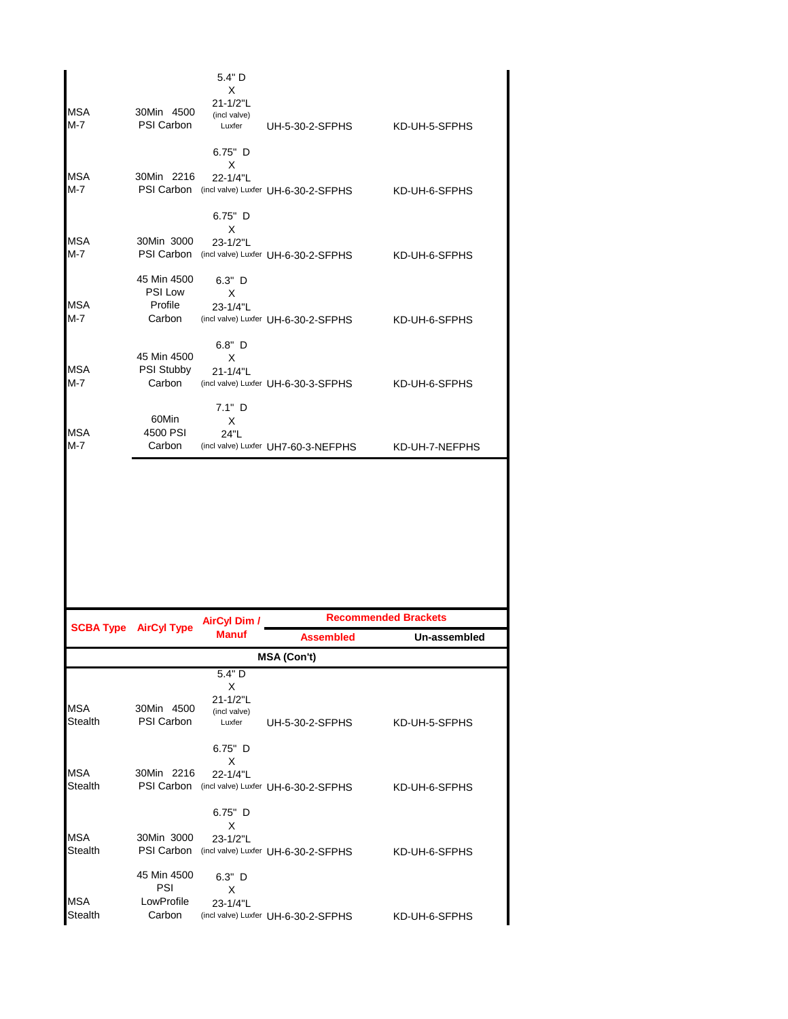|                           |                                             | 5.4" D<br>Х                                       |                                                                                       |                                |
|---------------------------|---------------------------------------------|---------------------------------------------------|---------------------------------------------------------------------------------------|--------------------------------|
| <b>MSA</b><br>$M-7$       | 30Min 4500<br>PSI Carbon                    | 21-1/2"L<br>(incl valve)<br>Luxfer                | UH-5-30-2-SFPHS                                                                       | KD-UH-5-SFPHS                  |
| <b>MSA</b><br>M-7         | 30Min 2216                                  | $6.75"$ D<br>х<br>22-1/4"L<br>$6.75"$ D           | PSI Carbon (incl valve) Luxfer UH-6-30-2-SFPHS                                        | KD-UH-6-SFPHS                  |
| <b>MSA</b><br>M-7         | 30Min 3000                                  | Х<br>23-1/2"L                                     | PSI Carbon (incl valve) Luxfer UH-6-30-2-SFPHS                                        | KD-UH-6-SFPHS                  |
| <b>MSA</b><br>M-7         | 45 Min 4500<br>PSI Low<br>Profile<br>Carbon | $6.3"$ D<br>X<br>23-1/4"L                         | (incl valve) Luxfer UH-6-30-2-SFPHS                                                   | KD-UH-6-SFPHS                  |
| <b>MSA</b><br>M-7         | 45 Min 4500<br><b>PSI Stubby</b><br>Carbon  | $6.8"$ D<br>х<br>21-1/4"L                         | (incl valve) Luxfer UH-6-30-3-SFPHS                                                   | KD-UH-6-SFPHS                  |
| <b>MSA</b><br>M-7         | 60Min<br>4500 PSI<br>Carbon                 | $7.1"$ D<br>X<br>24"L                             | (incl valve) Luxfer UH7-60-3-NEFPHS                                                   | KD-UH-7-NEFPHS                 |
|                           |                                             |                                                   |                                                                                       |                                |
|                           |                                             |                                                   |                                                                                       |                                |
|                           |                                             |                                                   |                                                                                       | <b>Recommended Brackets</b>    |
|                           | <b>SCBA Type AirCyl Type</b>                | <b>AirCyl Dim /</b><br><b>Manuf</b>               | <b>Assembled</b>                                                                      | Un-assembled                   |
|                           |                                             |                                                   | <b>MSA (Con't)</b>                                                                    |                                |
| <b>MSA</b><br>Stealth     | 30Min 4500<br><b>PSI Carbon</b>             | 5.4" D<br>X<br>21-1/2"L<br>(incl valve)<br>Luxfer | UH-5-30-2-SFPHS                                                                       | KD-UH-5-SFPHS                  |
| MSA                       | 30Min 2216                                  | $6.75"$ D<br>х<br>22-1/4"L                        |                                                                                       |                                |
| Stealth<br>MSA<br>Stealth | 30Min 3000<br>PSI Carbon                    | $6.75"$ D<br>X<br>23-1/2"L                        | PSI Carbon (incl valve) Luxfer UH-6-30-2-SFPHS<br>(incl valve) Luxfer UH-6-30-2-SFPHS | KD-UH-6-SFPHS<br>KD-UH-6-SFPHS |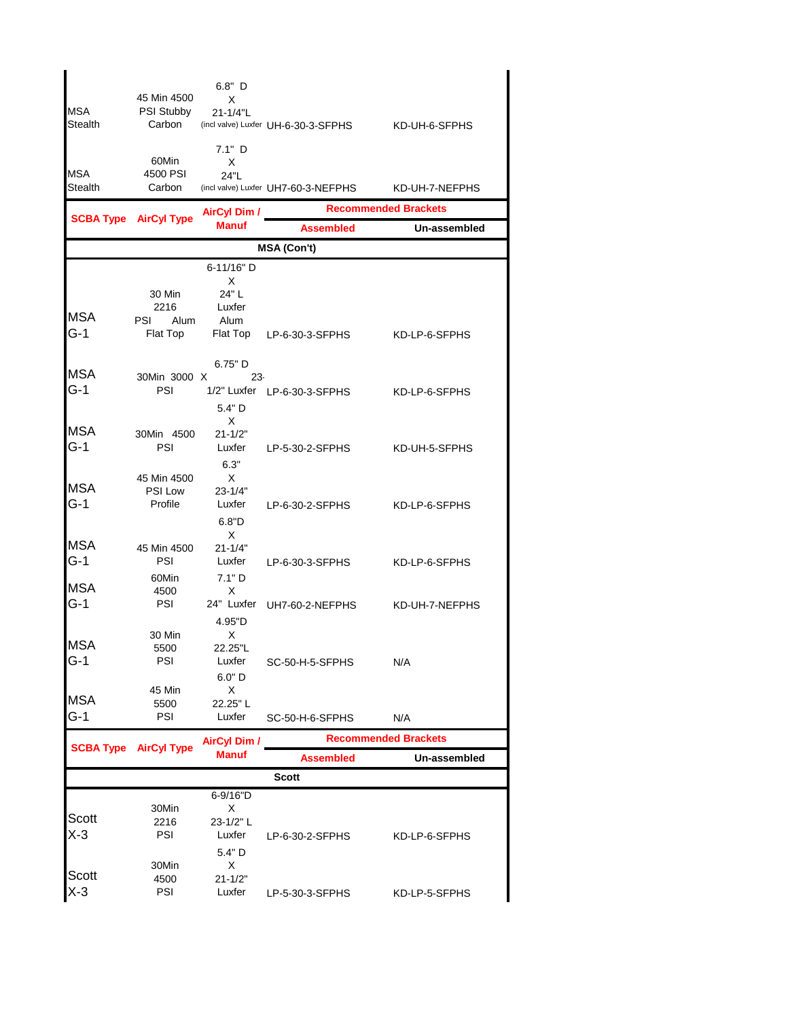| MSA<br>Stealth      | 45 Min 4500<br>PSI Stubby<br>Carbon | $6.8"$ D<br>X<br>21-1/4"L<br>7.1" D             | (incl valve) Luxfer UH-6-30-3-SFPHS | KD-UH-6-SFPHS                               |
|---------------------|-------------------------------------|-------------------------------------------------|-------------------------------------|---------------------------------------------|
| MSA<br>Stealth      | 60Min<br>4500 PSI<br>Carbon         | X<br>24"L                                       | (incl valve) Luxfer UH7-60-3-NEFPHS | KD-UH-7-NEFPHS                              |
|                     |                                     | <b>AirCyl Dim /</b>                             |                                     | <b>Recommended Brackets</b>                 |
|                     | <b>SCBA Type AirCyl Type</b>        | <b>Manuf</b>                                    | <b>Assembled</b>                    | Un-assembled                                |
|                     |                                     |                                                 | <b>MSA (Con't)</b>                  |                                             |
|                     | 30 Min                              | 6-11/16" D<br>X<br>24" L                        |                                     |                                             |
| <b>MSA</b><br>G-1   | 2216<br>PSI<br>Alum<br>Flat Top     | Luxfer<br>Alum<br>Flat Top                      | LP-6-30-3-SFPHS                     | KD-LP-6-SFPHS                               |
| <b>MSA</b>          |                                     | 6.75" D                                         |                                     |                                             |
| $G-1$               | 30Min 3000 X<br>PSI                 | $23 -$<br>5.4" D                                | 1/2" Luxfer LP-6-30-3-SFPHS         | KD-LP-6-SFPHS                               |
| MSA<br>$G-1$        | 30Min 4500<br>PSI                   | X<br>$21 - 1/2"$<br>Luxfer                      | LP-5-30-2-SFPHS                     | KD-UH-5-SFPHS                               |
| <b>MSA</b><br>$G-1$ | 45 Min 4500<br>PSI Low<br>Profile   | 6.3"<br>X<br>$23 - 1/4"$<br>Luxfer<br>6.8"D     | LP-6-30-2-SFPHS                     | KD-LP-6-SFPHS                               |
| <b>MSA</b><br>$G-1$ | 45 Min 4500<br>PSI                  | X<br>$21 - 1/4"$<br>Luxfer                      | LP-6-30-3-SFPHS                     | KD-LP-6-SFPHS                               |
| <b>MSA</b><br>$G-1$ | 60Min<br>4500<br>PSI                | 7.1"D<br>X<br>24" Luxfer                        | UH7-60-2-NEFPHS                     | KD-UH-7-NEFPHS                              |
| <b>MSA</b><br>$G-1$ | 30 Min<br>5500<br>PSI<br>45 Min     | 4.95"D<br>X<br>22.25"L<br>Luxfer<br>6.0" D<br>X | SC-50-H-5-SFPHS                     | N/A                                         |
| MSA                 | 5500                                | 22.25"L                                         |                                     |                                             |
| G-1                 | PSI                                 | Luxfer                                          | SC-50-H-6-SFPHS                     | N/A                                         |
|                     | <b>SCBA Type AirCyl Type</b>        | <b>AirCyl Dim /</b><br><b>Manuf</b>             | <b>Assembled</b>                    | <b>Recommended Brackets</b><br>Un-assembled |
|                     |                                     |                                                 | <b>Scott</b>                        |                                             |
|                     |                                     | 6-9/16"D                                        |                                     |                                             |
| Scott<br>X-3        | 30Min<br>2216<br>PSI                | X<br>23-1/2" L<br>Luxfer<br>5.4" D<br>X         | LP-6-30-2-SFPHS                     | KD-LP-6-SFPHS                               |
| Scott<br>X-3        | 30Min<br>4500<br>PSI                | $21 - 1/2"$<br>Luxfer                           | LP-5-30-3-SFPHS                     | KD-LP-5-SFPHS                               |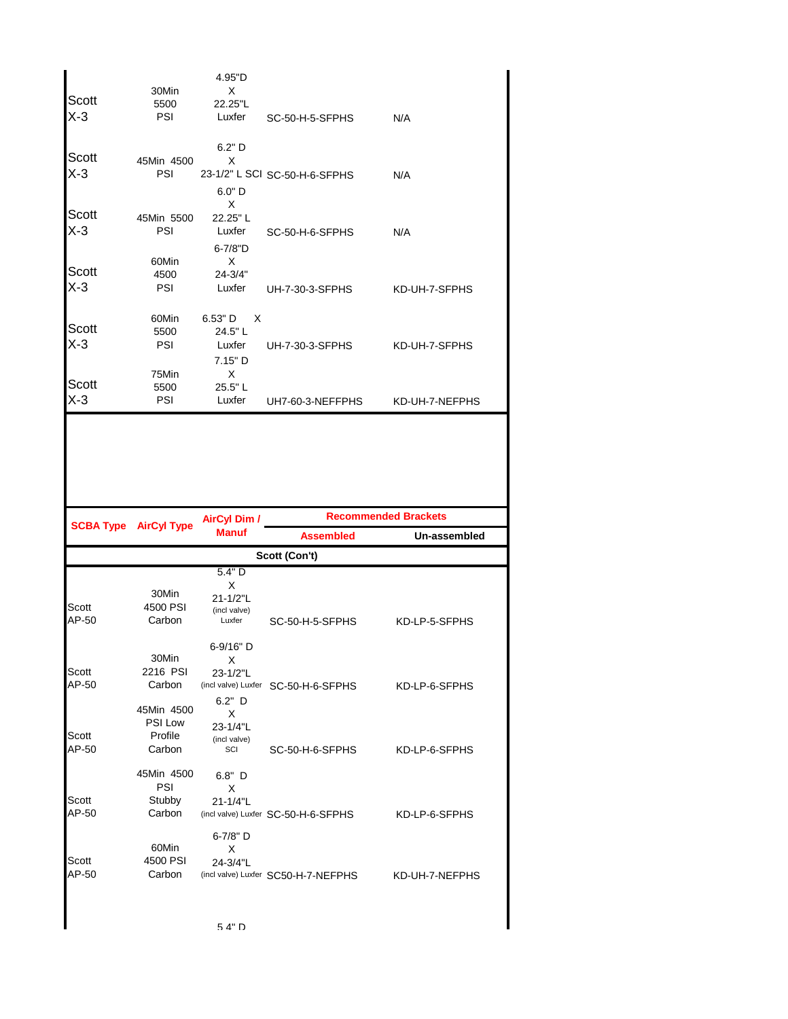| Scott<br>$X-3$ | 30Min<br>5500<br>PSI                       | 4.95"D<br>X<br>22.25"L<br>Luxfer                 | SC-50-H-5-SFPHS                     | N/A                         |
|----------------|--------------------------------------------|--------------------------------------------------|-------------------------------------|-----------------------------|
| Scott<br>$X-3$ | 45Min 4500<br>PSI                          | $6.2"$ D<br>X<br>$6.0"$ D<br>X                   | 23-1/2" L SCI SC-50-H-6-SFPHS       | N/A                         |
| Scott<br>$X-3$ | 45Min 5500<br>PSI                          | 22.25"L<br>Luxfer<br>$6 - 7/8"D$                 | SC-50-H-6-SFPHS                     | N/A                         |
| Scott<br>$X-3$ | 60Min<br>4500<br>PSI                       | X<br>$24 - 3/4"$<br>Luxfer                       | UH-7-30-3-SFPHS                     | KD-UH-7-SFPHS               |
| Scott<br>$X-3$ | 60Min<br>5500<br>PSI<br>75Min              | 6.53" D<br>X<br>24.5"L<br>Luxfer<br>7.15" D<br>X | UH-7-30-3-SFPHS                     | KD-UH-7-SFPHS               |
| Scott<br>$X-3$ | 5500<br>PSI                                | 25.5"L<br>Luxfer                                 | UH7-60-3-NEFFPHS                    | KD-UH-7-NEFPHS              |
|                |                                            |                                                  |                                     |                             |
|                | <b>SCBA Type AirCyl Type</b>               | <b>AirCyl Dim /</b>                              |                                     | <b>Recommended Brackets</b> |
|                |                                            | <b>Manuf</b>                                     | <b>Assembled</b>                    | Un-assembled                |
|                |                                            | 5.4"D                                            | Scott (Con't)                       |                             |
| Scott<br>AP-50 | 30Min<br>4500 PSI<br>Carbon                | X<br>21-1/2"L<br>(incl valve)<br>Luxfer          | SC-50-H-5-SFPHS                     | KD-LP-5-SFPHS               |
| Scott<br>AP-50 | 30Min<br>2216 PSI<br>Carbon                | 6-9/16" D<br>Х<br>23-1/2"L<br>$6.2"$ D           | (incl valve) Luxfer SC-50-H-6-SFPHS | KD-LP-6-SFPHS               |
| Scott<br>AP-50 | 45Min 4500<br>PSI Low<br>Profile<br>Carbon | X<br>23-1/4"L<br>(incl valve)<br>SCI             | SC-50-H-6-SFPHS                     | KD-LP-6-SFPHS               |
| Scott<br>AP-50 | 45Min 4500<br>PSI<br>Stubby<br>Carbon      | $6.8"$ D<br>X<br>21-1/4"L                        | (incl valve) Luxfer SC-50-H-6-SFPHS | KD-LP-6-SFPHS               |
| Scott<br>AP-50 | 60Min<br>4500 PSI<br>Carbon                | 6-7/8" D<br>X<br>24-3/4"L                        | (incl valve) Luxfer SC50-H-7-NEFPHS | KD-UH-7-NEFPHS              |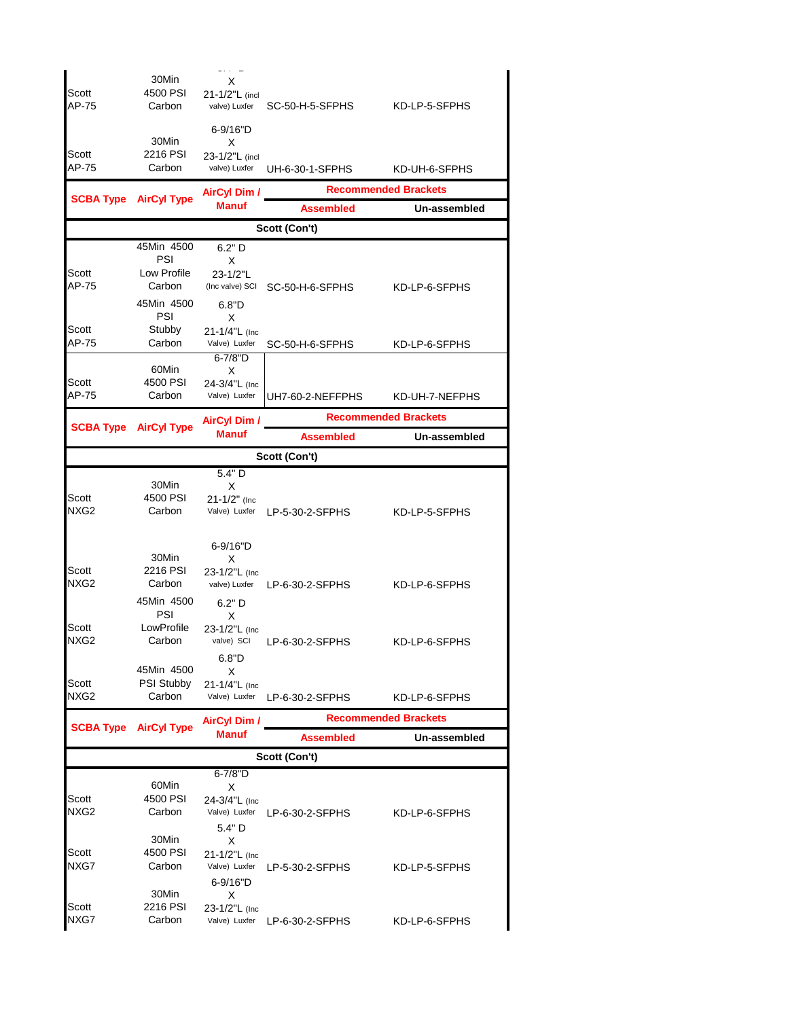|                  | 30Min                        | х                                   |                               |                             |
|------------------|------------------------------|-------------------------------------|-------------------------------|-----------------------------|
| Scott<br>AP-75   | 4500 PSI<br>Carbon           | 21-1/2"L (incl<br>valve) Luxfer     | SC-50-H-5-SFPHS               | KD-LP-5-SFPHS               |
|                  | 30Min                        | 6-9/16"D<br>X                       |                               |                             |
| Scott<br>AP-75   | 2216 PSI<br>Carbon           | 23-1/2"L (incl<br>valve) Luxfer     | UH-6-30-1-SFPHS               | KD-UH-6-SFPHS               |
| <b>SCBA Type</b> | <b>AirCyl Type</b>           | <b>AirCyl Dim /</b>                 |                               | <b>Recommended Brackets</b> |
|                  |                              | <b>Manuf</b>                        | <b>Assembled</b>              | Un-assembled                |
|                  |                              |                                     | Scott (Con't)                 |                             |
|                  | 45Min 4500<br>PSI            | $6.2"$ D<br>X                       |                               |                             |
| Scott            | Low Profile                  | 23-1/2"L                            |                               |                             |
| AP-75            | Carbon                       | (Inc valve) SCI                     | SC-50-H-6-SFPHS               | KD-LP-6-SFPHS               |
|                  | 45Min 4500<br>PSI            | 6.8"D<br>X                          |                               |                             |
| Scott            | Stubby                       | 21-1/4"L (Inc                       |                               |                             |
| AP-75            | Carbon                       | Valve) Luxfer<br>$6 - 7/8"D$        | SC-50-H-6-SFPHS               | KD-LP-6-SFPHS               |
|                  | 60Min                        | X                                   |                               |                             |
| Scott<br>AP-75   | 4500 PSI<br>Carbon           | 24-3/4"L (Inc<br>Valve) Luxfer      | UH7-60-2-NEFFPHS              | KD-UH-7-NEFPHS              |
|                  |                              |                                     |                               | <b>Recommended Brackets</b> |
|                  | <b>SCBA Type AirCyl Type</b> | <b>AirCyl Dim /</b><br><b>Manuf</b> | <b>Assembled</b>              | Un-assembled                |
|                  |                              |                                     | Scott (Con't)                 |                             |
|                  |                              | 5.4"D                               |                               |                             |
|                  | 30Min                        | X                                   |                               |                             |
| Scott<br>NXG2    | 4500 PSI<br>Carbon           | $21 - 1/2$ " (Inc.                  | Valve) Luxfer LP-5-30-2-SFPHS | KD-LP-5-SFPHS               |
|                  |                              | 6-9/16"D                            |                               |                             |
| Scott            | 30Min<br>2216 PSI            | X                                   |                               |                             |
| NXG2             | Carbon                       | 23-1/2"L (Inc<br>valve) Luxfer      | LP-6-30-2-SFPHS               | KD-LP-6-SFPHS               |
|                  | 45Min 4500                   | $6.2"$ D                            |                               |                             |
| Scott            | PSI<br>LowProfile            | X                                   |                               |                             |
| NXG2             | Carbon                       | 23-1/2"L (Inc<br>valve) SCI         | LP-6-30-2-SFPHS               | KD-LP-6-SFPHS               |
|                  |                              | 6.8"D                               |                               |                             |
| Scott            | 45Min 4500<br>PSI Stubby     | X<br>21-1/4"L (Inc                  |                               |                             |
| NXG2             | Carbon                       | Valve) Luxfer                       | LP-6-30-2-SFPHS               | KD-LP-6-SFPHS               |
|                  | <b>SCBA Type AirCyl Type</b> | <b>AirCyl Dim /</b>                 |                               | <b>Recommended Brackets</b> |
|                  |                              | <b>Manuf</b>                        | <b>Assembled</b>              | Un-assembled                |
|                  |                              |                                     | Scott (Con't)                 |                             |
|                  | 60Min                        | $6 - 7/8"D$                         |                               |                             |
| Scott            | 4500 PSI                     | X<br>24-3/4"L (Inc                  |                               |                             |
| NXG2             | Carbon                       | Valve) Luxfer                       | LP-6-30-2-SFPHS               | KD-LP-6-SFPHS               |
|                  | 30Min                        | 5.4" D<br>X                         |                               |                             |
| Scott            | 4500 PSI                     | 21-1/2"L (Inc                       |                               |                             |
| NXG7             | Carbon                       | Valve) Luxfer                       | LP-5-30-2-SFPHS               | KD-LP-5-SFPHS               |
|                  | 30Min                        | 6-9/16"D<br>X                       |                               |                             |
| Scott            | 2216 PSI                     | 23-1/2"L (Inc                       |                               |                             |
| NXG7             | Carbon                       | Valve) Luxfer                       | LP-6-30-2-SFPHS               | KD-LP-6-SFPHS               |